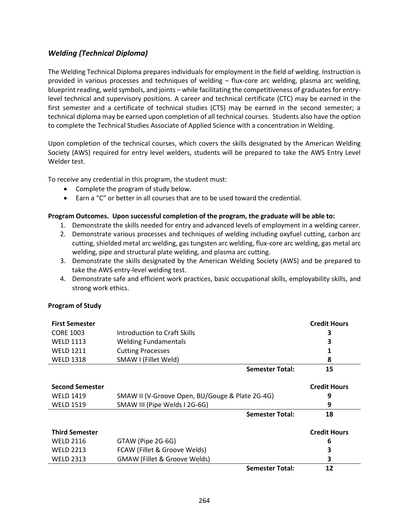## *Welding (Technical Diploma)*

The Welding Technical Diploma prepares individuals for employment in the field of welding. Instruction is provided in various processes and techniques of welding – flux-core arc welding, plasma arc welding, blueprint reading, weld symbols, and joints – while facilitating the competitiveness of graduates for entrylevel technical and supervisory positions. A career and technical certificate (CTC) may be earned in the first semester and a certificate of technical studies (CTS) may be earned in the second semester; a technical diploma may be earned upon completion of all technical courses. Students also have the option to complete the Technical Studies Associate of Applied Science with a concentration in Welding.

Upon completion of the technical courses, which covers the skills designated by the American Welding Society (AWS) required for entry level welders, students will be prepared to take the AWS Entry Level Welder test.

To receive any credential in this program, the student must:

- Complete the program of study below.
- Earn a "C" or better in all courses that are to be used toward the credential.

## **Program Outcomes. Upon successful completion of the program, the graduate will be able to:**

- 1. Demonstrate the skills needed for entry and advanced levels of employment in a welding career.
- 2. Demonstrate various processes and techniques of welding including oxyfuel cutting, carbon arc cutting, shielded metal arc welding, gas tungsten arc welding, flux-core arc welding, gas metal arc welding, pipe and structural plate welding, and plasma arc cutting.
- 3. Demonstrate the skills designated by the American Welding Society (AWS) and be prepared to take the AWS entry-level welding test.
- 4. Demonstrate safe and efficient work practices, basic occupational skills, employability skills, and strong work ethics.

## **Program of Study**

| <b>First Semester</b>  |                                                 | <b>Credit Hours</b> |
|------------------------|-------------------------------------------------|---------------------|
| <b>CORE 1003</b>       | Introduction to Craft Skills                    | З                   |
| <b>WELD 1113</b>       | <b>Welding Fundamentals</b>                     | 3                   |
| <b>WELD 1211</b>       | <b>Cutting Processes</b>                        |                     |
| <b>WELD 1318</b>       | SMAW I (Fillet Weld)                            | 8                   |
|                        | <b>Semester Total:</b>                          | 15                  |
| <b>Second Semester</b> |                                                 | <b>Credit Hours</b> |
| <b>WELD 1419</b>       | SMAW II (V-Groove Open, BU/Gouge & Plate 2G-4G) | 9                   |
| <b>WELD 1519</b>       | SMAW III (Pipe Welds I 2G-6G)                   | 9                   |
|                        | <b>Semester Total:</b>                          | 18                  |
| <b>Third Semester</b>  |                                                 | <b>Credit Hours</b> |
| <b>WELD 2116</b>       | GTAW (Pipe 2G-6G)                               | 6                   |
| <b>WELD 2213</b>       | FCAW (Fillet & Groove Welds)                    | 3                   |
| <b>WELD 2313</b>       | <b>GMAW (Fillet &amp; Groove Welds)</b>         | 3                   |
|                        | <b>Semester Total:</b>                          | 12                  |